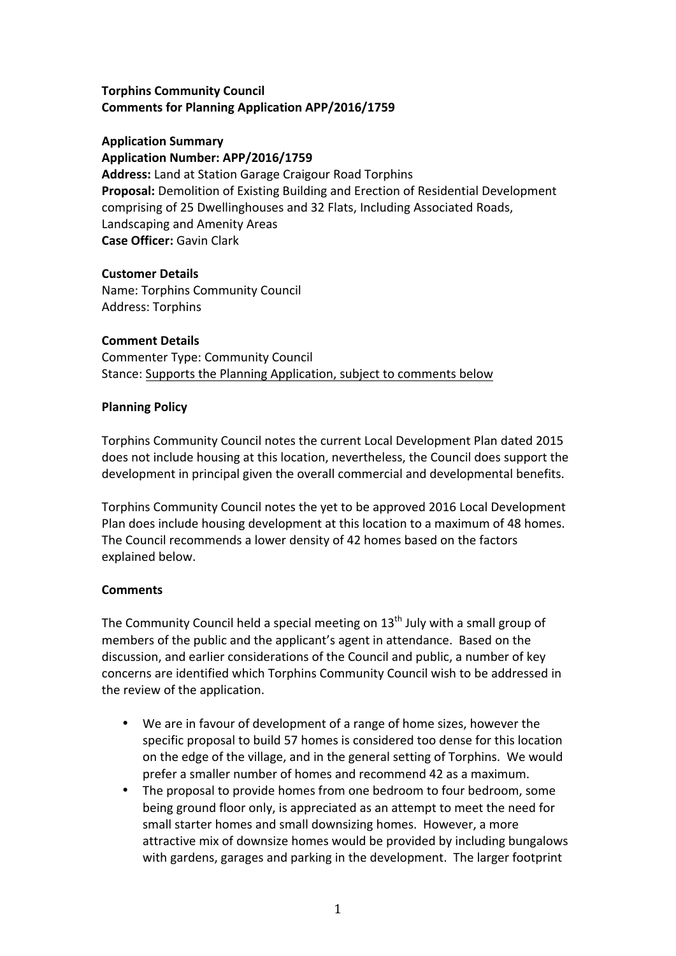#### **Torphins Community Council Comments for Planning Application APP/2016/1759**

#### **Application Summary Application Number: APP/2016/1759**

**Address:** Land at Station Garage Craigour Road Torphins **Proposal:** Demolition of Existing Building and Erection of Residential Development comprising of 25 Dwellinghouses and 32 Flats, Including Associated Roads, Landscaping and Amenity Areas **Case Officer:** Gavin Clark

## **Customer Details**

Name: Torphins Community Council Address: Torphins

## **Comment Details**

Commenter Type: Community Council Stance: Supports the Planning Application, subject to comments below

## **Planning Policy**

Torphins Community Council notes the current Local Development Plan dated 2015 does not include housing at this location, nevertheless, the Council does support the development in principal given the overall commercial and developmental benefits.

Torphins Community Council notes the yet to be approved 2016 Local Development Plan does include housing development at this location to a maximum of 48 homes. The Council recommends a lower density of 42 homes based on the factors explained below.

# **Comments**

The Community Council held a special meeting on  $13<sup>th</sup>$  July with a small group of members of the public and the applicant's agent in attendance. Based on the discussion, and earlier considerations of the Council and public, a number of key concerns are identified which Torphins Community Council wish to be addressed in the review of the application.

- We are in favour of development of a range of home sizes, however the specific proposal to build 57 homes is considered too dense for this location on the edge of the village, and in the general setting of Torphins. We would prefer a smaller number of homes and recommend 42 as a maximum.
- The proposal to provide homes from one bedroom to four bedroom, some being ground floor only, is appreciated as an attempt to meet the need for small starter homes and small downsizing homes. However, a more attractive mix of downsize homes would be provided by including bungalows with gardens, garages and parking in the development. The larger footprint